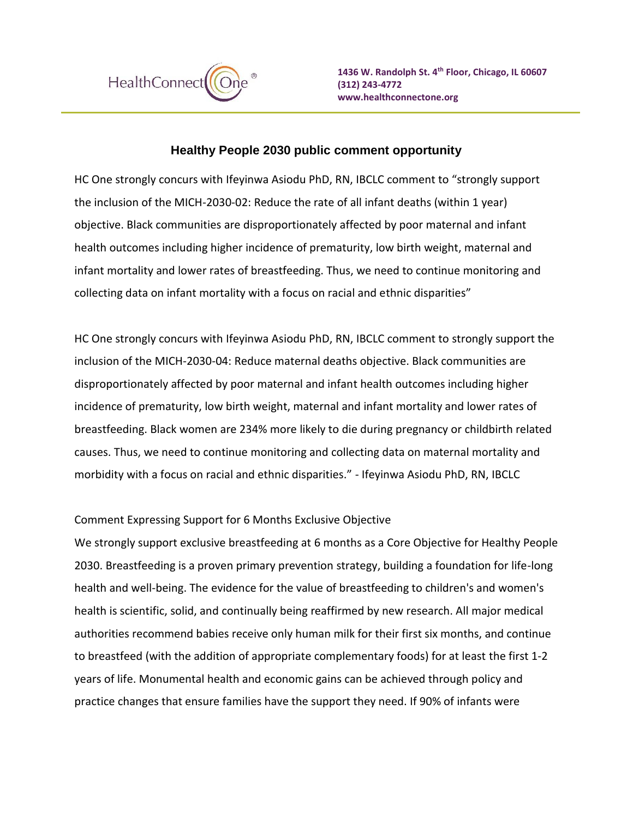

## **Healthy People 2030 public comment opportunity**

HC One strongly concurs with Ifeyinwa Asiodu PhD, RN, IBCLC comment to "strongly support the inclusion of the MICH-2030-02: Reduce the rate of all infant deaths (within 1 year) objective. Black communities are disproportionately affected by poor maternal and infant health outcomes including higher incidence of prematurity, low birth weight, maternal and infant mortality and lower rates of breastfeeding. Thus, we need to continue monitoring and collecting data on infant mortality with a focus on racial and ethnic disparities"

HC One strongly concurs with Ifeyinwa Asiodu PhD, RN, IBCLC comment to strongly support the inclusion of the MICH-2030-04: Reduce maternal deaths objective. Black communities are disproportionately affected by poor maternal and infant health outcomes including higher incidence of prematurity, low birth weight, maternal and infant mortality and lower rates of breastfeeding. Black women are 234% more likely to die during pregnancy or childbirth related causes. Thus, we need to continue monitoring and collecting data on maternal mortality and morbidity with a focus on racial and ethnic disparities." - Ifeyinwa Asiodu PhD, RN, IBCLC

## Comment Expressing Support for 6 Months Exclusive Objective

We strongly support exclusive breastfeeding at 6 months as a Core Objective for Healthy People 2030. Breastfeeding is a proven primary prevention strategy, building a foundation for life-long health and well-being. The evidence for the value of breastfeeding to children's and women's health is scientific, solid, and continually being reaffirmed by new research. All major medical authorities recommend babies receive only human milk for their first six months, and continue to breastfeed (with the addition of appropriate complementary foods) for at least the first 1-2 years of life. Monumental health and economic gains can be achieved through policy and practice changes that ensure families have the support they need. If 90% of infants were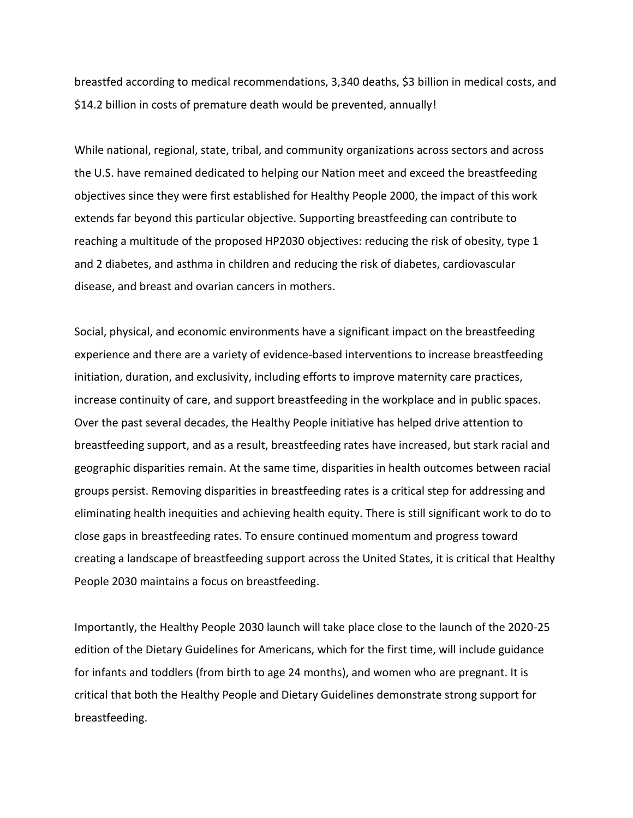breastfed according to medical recommendations, 3,340 deaths, \$3 billion in medical costs, and \$14.2 billion in costs of premature death would be prevented, annually!

While national, regional, state, tribal, and community organizations across sectors and across the U.S. have remained dedicated to helping our Nation meet and exceed the breastfeeding objectives since they were first established for Healthy People 2000, the impact of this work extends far beyond this particular objective. Supporting breastfeeding can contribute to reaching a multitude of the proposed HP2030 objectives: reducing the risk of obesity, type 1 and 2 diabetes, and asthma in children and reducing the risk of diabetes, cardiovascular disease, and breast and ovarian cancers in mothers.

Social, physical, and economic environments have a significant impact on the breastfeeding experience and there are a variety of evidence-based interventions to increase breastfeeding initiation, duration, and exclusivity, including efforts to improve maternity care practices, increase continuity of care, and support breastfeeding in the workplace and in public spaces. Over the past several decades, the Healthy People initiative has helped drive attention to breastfeeding support, and as a result, breastfeeding rates have increased, but stark racial and geographic disparities remain. At the same time, disparities in health outcomes between racial groups persist. Removing disparities in breastfeeding rates is a critical step for addressing and eliminating health inequities and achieving health equity. There is still significant work to do to close gaps in breastfeeding rates. To ensure continued momentum and progress toward creating a landscape of breastfeeding support across the United States, it is critical that Healthy People 2030 maintains a focus on breastfeeding.

Importantly, the Healthy People 2030 launch will take place close to the launch of the 2020-25 edition of the Dietary Guidelines for Americans, which for the first time, will include guidance for infants and toddlers (from birth to age 24 months), and women who are pregnant. It is critical that both the Healthy People and Dietary Guidelines demonstrate strong support for breastfeeding.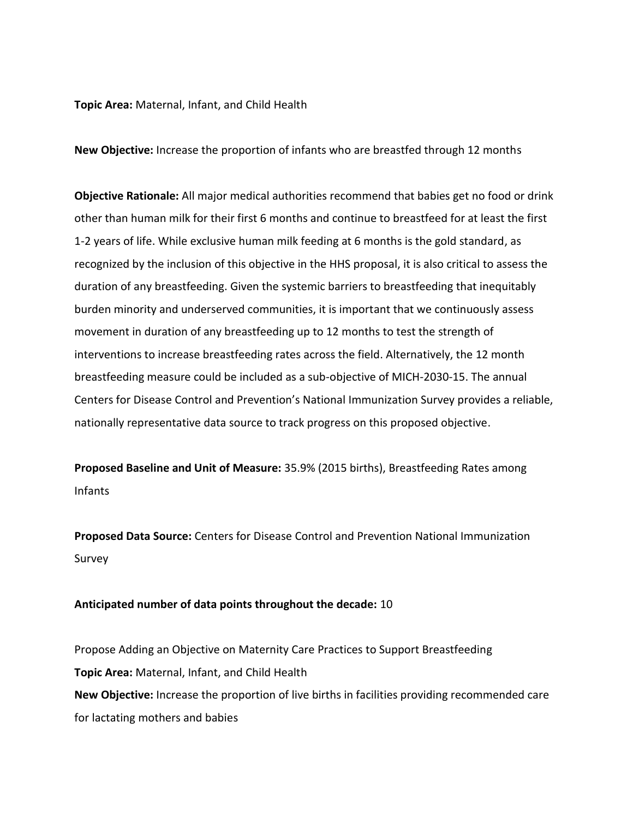**Topic Area:** Maternal, Infant, and Child Health

**New Objective:** Increase the proportion of infants who are breastfed through 12 months

**Objective Rationale:** All major medical authorities recommend that babies get no food or drink other than human milk for their first 6 months and continue to breastfeed for at least the first 1-2 years of life. While exclusive human milk feeding at 6 months is the gold standard, as recognized by the inclusion of this objective in the HHS proposal, it is also critical to assess the duration of any breastfeeding. Given the systemic barriers to breastfeeding that inequitably burden minority and underserved communities, it is important that we continuously assess movement in duration of any breastfeeding up to 12 months to test the strength of interventions to increase breastfeeding rates across the field. Alternatively, the 12 month breastfeeding measure could be included as a sub-objective of MICH-2030-15. The annual Centers for Disease Control and Prevention's National Immunization Survey provides a reliable, nationally representative data source to track progress on this proposed objective.

**Proposed Baseline and Unit of Measure:** 35.9% (2015 births), Breastfeeding Rates among Infants

**Proposed Data Source:** Centers for Disease Control and Prevention National Immunization Survey

## **Anticipated number of data points throughout the decade:** 10

Propose Adding an Objective on Maternity Care Practices to Support Breastfeeding **Topic Area:** Maternal, Infant, and Child Health **New Objective:** Increase the proportion of live births in facilities providing recommended care for lactating mothers and babies